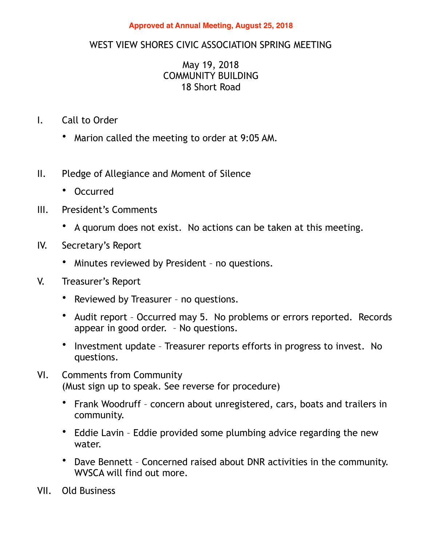## **Approved at Annual Meeting, August 25, 2018**

## WEST VIEW SHORES CIVIC ASSOCIATION SPRING MEETING

## May 19, 2018 COMMUNITY BUILDING 18 Short Road

- I. Call to Order
	- Marion called the meeting to order at 9:05 AM.
- II. Pledge of Allegiance and Moment of Silence
	- Occurred
- III. President's Comments
	- A quorum does not exist. No actions can be taken at this meeting.
- IV. Secretary's Report
	- Minutes reviewed by President no questions.
- V. Treasurer's Report
	- Reviewed by Treasurer no questions.
	- Audit report Occurred may 5. No problems or errors reported. Records appear in good order. – No questions.
	- Investment update Treasurer reports efforts in progress to invest. No questions.
- VI. Comments from Community (Must sign up to speak. See reverse for procedure)
	- Frank Woodruff concern about unregistered, cars, boats and trailers in community.
	- Eddie Lavin Eddie provided some plumbing advice regarding the new water.
	- Dave Bennett Concerned raised about DNR activities in the community. WVSCA will find out more.
- VII. Old Business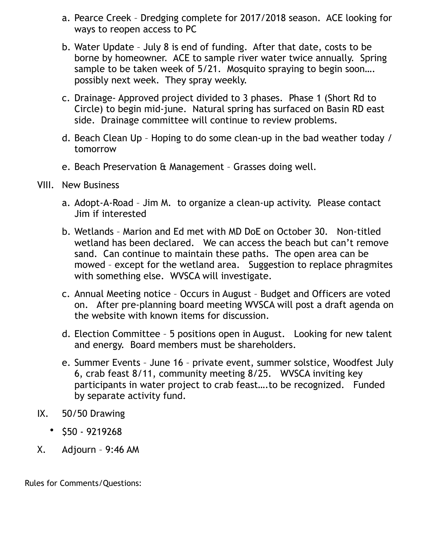- a. Pearce Creek Dredging complete for 2017/2018 season. ACE looking for ways to reopen access to PC
- b. Water Update July 8 is end of funding. After that date, costs to be borne by homeowner. ACE to sample river water twice annually. Spring sample to be taken week of 5/21. Mosquito spraying to begin soon.... possibly next week. They spray weekly.
- c. Drainage- Approved project divided to 3 phases. Phase 1 (Short Rd to Circle) to begin mid-june. Natural spring has surfaced on Basin RD east side. Drainage committee will continue to review problems.
- d. Beach Clean Up Hoping to do some clean-up in the bad weather today / tomorrow
- e. Beach Preservation & Management Grasses doing well.
- VIII. New Business
	- a. Adopt-A-Road Jim M. to organize a clean-up activity. Please contact Jim if interested
	- b. Wetlands Marion and Ed met with MD DoE on October 30. Non-titled wetland has been declared. We can access the beach but can't remove sand. Can continue to maintain these paths. The open area can be mowed – except for the wetland area. Suggestion to replace phragmites with something else. WVSCA will investigate.
	- c. Annual Meeting notice Occurs in August Budget and Officers are voted on. After pre-planning board meeting WVSCA will post a draft agenda on the website with known items for discussion.
	- d. Election Committee 5 positions open in August. Looking for new talent and energy. Board members must be shareholders.
	- e. Summer Events June 16 private event, summer solstice, Woodfest July 6, crab feast 8/11, community meeting 8/25. WVSCA inviting key participants in water project to crab feast….to be recognized. Funded by separate activity fund.
- IX. 50/50 Drawing
	- \$50 9219268
- X. Adjourn 9:46 AM

Rules for Comments/Questions: